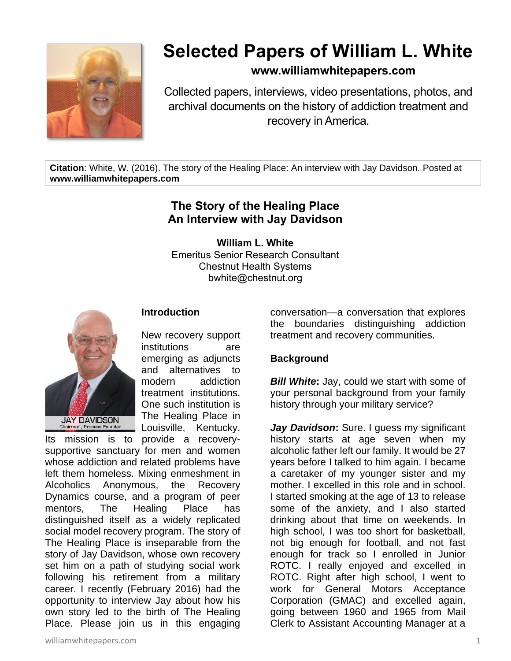

# **Selected Papers of William L. White**

## **www.williamwhitepapers.com**

Collected papers, interviews, video presentations, photos, and archival documents on the history of addiction treatment and recovery in America.

**Citation**: White, W. (2016). The story of the Healing Place: An interview with Jay Davidson. Posted at **www.williamwhitepapers.com**

## **The Story of the Healing Place An Interview with Jay Davidson**

**William L. White** Emeritus Senior Research Consultant Chestnut Health Systems bwhite@chestnut.org



### **Introduction**

New recovery support institutions are emerging as adjuncts and alternatives to modern addiction treatment institutions. One such institution is The Healing Place in Louisville, Kentucky.

Its mission is to provide a recoverysupportive sanctuary for men and women whose addiction and related problems have left them homeless. Mixing enmeshment in Alcoholics Anonymous, the Recovery Dynamics course, and a program of peer mentors, The Healing Place has distinguished itself as a widely replicated social model recovery program. The story of The Healing Place is inseparable from the story of Jay Davidson, whose own recovery set him on a path of studying social work following his retirement from a military career. I recently (February 2016) had the opportunity to interview Jay about how his own story led to the birth of The Healing Place. Please join us in this engaging

conversation—a conversation that explores the boundaries distinguishing addiction treatment and recovery communities.

#### **Background**

*Bill White***:** Jay, could we start with some of your personal background from your family history through your military service?

*Jay Davidson***:** Sure. I guess my significant history starts at age seven when my alcoholic father left our family. It would be 27 years before I talked to him again. I became a caretaker of my younger sister and my mother. I excelled in this role and in school. I started smoking at the age of 13 to release some of the anxiety, and I also started drinking about that time on weekends. In high school, I was too short for basketball, not big enough for football, and not fast enough for track so I enrolled in Junior ROTC. I really enjoyed and excelled in ROTC. Right after high school, I went to work for General Motors Acceptance Corporation (GMAC) and excelled again, going between 1960 and 1965 from Mail Clerk to Assistant Accounting Manager at a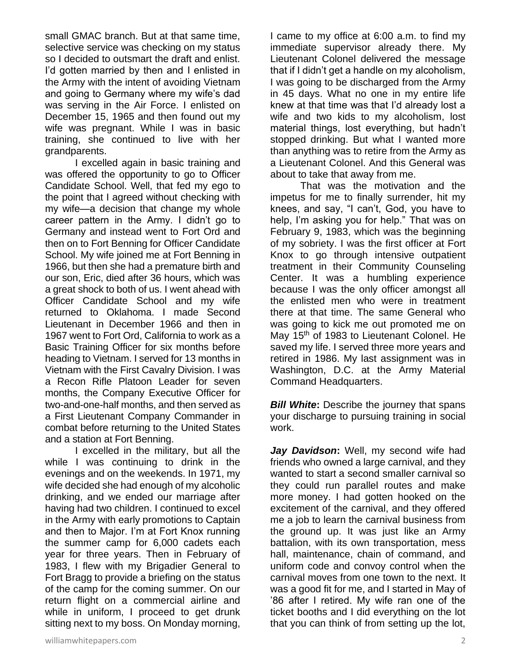small GMAC branch. But at that same time, selective service was checking on my status so I decided to outsmart the draft and enlist. I'd gotten married by then and I enlisted in the Army with the intent of avoiding Vietnam and going to Germany where my wife's dad was serving in the Air Force. I enlisted on December 15, 1965 and then found out my wife was pregnant. While I was in basic training, she continued to live with her grandparents.

I excelled again in basic training and was offered the opportunity to go to Officer Candidate School. Well, that fed my ego to the point that I agreed without checking with my wife—a decision that change my whole career pattern in the Army. I didn't go to Germany and instead went to Fort Ord and then on to Fort Benning for Officer Candidate School. My wife joined me at Fort Benning in 1966, but then she had a premature birth and our son, Eric, died after 36 hours, which was a great shock to both of us. I went ahead with Officer Candidate School and my wife returned to Oklahoma. I made Second Lieutenant in December 1966 and then in 1967 went to Fort Ord, California to work as a Basic Training Officer for six months before heading to Vietnam. I served for 13 months in Vietnam with the First Cavalry Division. I was a Recon Rifle Platoon Leader for seven months, the Company Executive Officer for two-and-one-half months, and then served as a First Lieutenant Company Commander in combat before returning to the United States and a station at Fort Benning.

I excelled in the military, but all the while I was continuing to drink in the evenings and on the weekends. In 1971, my wife decided she had enough of my alcoholic drinking, and we ended our marriage after having had two children. I continued to excel in the Army with early promotions to Captain and then to Major. I'm at Fort Knox running the summer camp for 6,000 cadets each year for three years. Then in February of 1983, I flew with my Brigadier General to Fort Bragg to provide a briefing on the status of the camp for the coming summer. On our return flight on a commercial airline and while in uniform, I proceed to get drunk sitting next to my boss. On Monday morning,

I came to my office at 6:00 a.m. to find my immediate supervisor already there. My Lieutenant Colonel delivered the message that if I didn't get a handle on my alcoholism, I was going to be discharged from the Army in 45 days. What no one in my entire life knew at that time was that I'd already lost a wife and two kids to my alcoholism, lost material things, lost everything, but hadn't stopped drinking. But what I wanted more than anything was to retire from the Army as a Lieutenant Colonel. And this General was about to take that away from me.

That was the motivation and the impetus for me to finally surrender, hit my knees, and say, "I can't, God, you have to help, I'm asking you for help." That was on February 9, 1983, which was the beginning of my sobriety. I was the first officer at Fort Knox to go through intensive outpatient treatment in their Community Counseling Center. It was a humbling experience because I was the only officer amongst all the enlisted men who were in treatment there at that time. The same General who was going to kick me out promoted me on May 15<sup>th</sup> of 1983 to Lieutenant Colonel. He saved my life. I served three more years and retired in 1986. My last assignment was in Washington, D.C. at the Army Material Command Headquarters.

*Bill White:* Describe the journey that spans your discharge to pursuing training in social work.

*Jay Davidson***:** Well, my second wife had friends who owned a large carnival, and they wanted to start a second smaller carnival so they could run parallel routes and make more money. I had gotten hooked on the excitement of the carnival, and they offered me a job to learn the carnival business from the ground up. It was just like an Army battalion, with its own transportation, mess hall, maintenance, chain of command, and uniform code and convoy control when the carnival moves from one town to the next. It was a good fit for me, and I started in May of '86 after I retired. My wife ran one of the ticket booths and I did everything on the lot that you can think of from setting up the lot,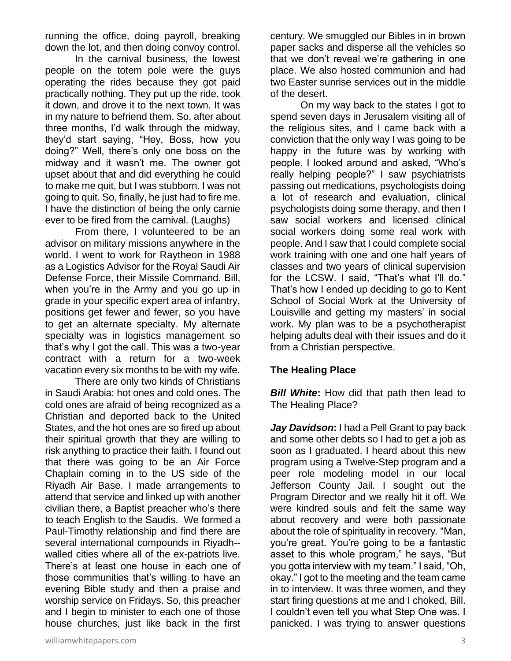running the office, doing payroll, breaking down the lot, and then doing convoy control.

In the carnival business, the lowest people on the totem pole were the guys operating the rides because they got paid practically nothing. They put up the ride, took it down, and drove it to the next town. It was in my nature to befriend them. So, after about three months, I'd walk through the midway, they'd start saying, "Hey, Boss, how you doing?" Well, there's only one boss on the midway and it wasn't me. The owner got upset about that and did everything he could to make me quit, but I was stubborn. I was not going to quit. So, finally, he just had to fire me. I have the distinction of being the only carnie ever to be fired from the carnival. (Laughs)

From there, I volunteered to be an advisor on military missions anywhere in the world. I went to work for Raytheon in 1988 as a Logistics Advisor for the Royal Saudi Air Defense Force, their Missile Command. Bill, when you're in the Army and you go up in grade in your specific expert area of infantry, positions get fewer and fewer, so you have to get an alternate specialty. My alternate specialty was in logistics management so that's why I got the call. This was a two-year contract with a return for a two-week vacation every six months to be with my wife.

There are only two kinds of Christians in Saudi Arabia: hot ones and cold ones. The cold ones are afraid of being recognized as a Christian and deported back to the United States, and the hot ones are so fired up about their spiritual growth that they are willing to risk anything to practice their faith. I found out that there was going to be an Air Force Chaplain coming in to the US side of the Riyadh Air Base. I made arrangements to attend that service and linked up with another civilian there, a Baptist preacher who's there to teach English to the Saudis. We formed a Paul-Timothy relationship and find there are several international compounds in Riyadh- walled cities where all of the ex-patriots live. There's at least one house in each one of those communities that's willing to have an evening Bible study and then a praise and worship service on Fridays. So, this preacher and I begin to minister to each one of those house churches, just like back in the first century. We smuggled our Bibles in in brown paper sacks and disperse all the vehicles so that we don't reveal we're gathering in one place. We also hosted communion and had two Easter sunrise services out in the middle of the desert.

On my way back to the states I got to spend seven days in Jerusalem visiting all of the religious sites, and I came back with a conviction that the only way I was going to be happy in the future was by working with people. I looked around and asked, "Who's really helping people?" I saw psychiatrists passing out medications, psychologists doing a lot of research and evaluation, clinical psychologists doing some therapy, and then I saw social workers and licensed clinical social workers doing some real work with people. And I saw that I could complete social work training with one and one half years of classes and two years of clinical supervision for the LCSW. I said, "That's what I'll do." That's how I ended up deciding to go to Kent School of Social Work at the University of Louisville and getting my masters' in social work. My plan was to be a psychotherapist helping adults deal with their issues and do it from a Christian perspective.

#### **The Healing Place**

*Bill White***:** How did that path then lead to The Healing Place?

*Jay Davidson***:** I had a Pell Grant to pay back and some other debts so I had to get a job as soon as I graduated. I heard about this new program using a Twelve-Step program and a peer role modeling model in our local Jefferson County Jail. I sought out the Program Director and we really hit it off. We were kindred souls and felt the same way about recovery and were both passionate about the role of spirituality in recovery. "Man, you're great. You're going to be a fantastic asset to this whole program," he says, "But you gotta interview with my team." I said, "Oh, okay." I got to the meeting and the team came in to interview. It was three women, and they start firing questions at me and I choked, Bill. I couldn't even tell you what Step One was. I panicked. I was trying to answer questions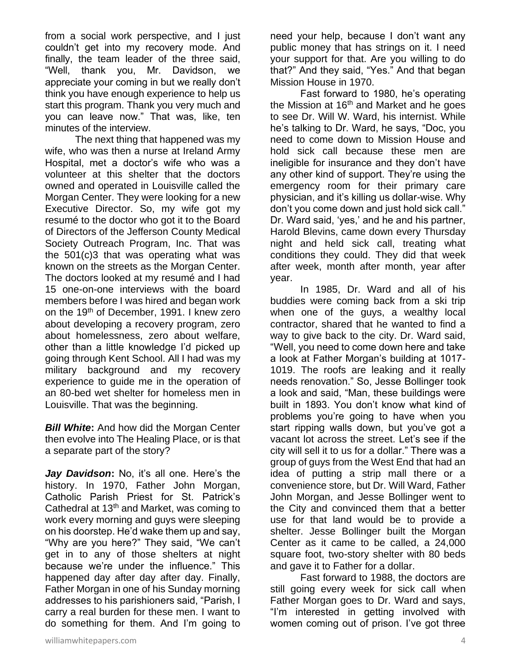from a social work perspective, and I just couldn't get into my recovery mode. And finally, the team leader of the three said, "Well, thank you, Mr. Davidson, we appreciate your coming in but we really don't think you have enough experience to help us start this program. Thank you very much and you can leave now." That was, like, ten minutes of the interview.

The next thing that happened was my wife, who was then a nurse at Ireland Army Hospital, met a doctor's wife who was a volunteer at this shelter that the doctors owned and operated in Louisville called the Morgan Center. They were looking for a new Executive Director. So, my wife got my resumé to the doctor who got it to the Board of Directors of the Jefferson County Medical Society Outreach Program, Inc. That was the 501(c)3 that was operating what was known on the streets as the Morgan Center. The doctors looked at my resumé and I had 15 one-on-one interviews with the board members before I was hired and began work on the 19th of December, 1991. I knew zero about developing a recovery program, zero about homelessness, zero about welfare, other than a little knowledge I'd picked up going through Kent School. All I had was my military background and my recovery experience to guide me in the operation of an 80-bed wet shelter for homeless men in Louisville. That was the beginning.

*Bill White***:** And how did the Morgan Center then evolve into The Healing Place, or is that a separate part of the story?

*Jay Davidson***:** No, it's all one. Here's the history. In 1970, Father John Morgan, Catholic Parish Priest for St. Patrick's Cathedral at 13th and Market, was coming to work every morning and guys were sleeping on his doorstep. He'd wake them up and say, "Why are you here?" They said, "We can't get in to any of those shelters at night because we're under the influence." This happened day after day after day. Finally, Father Morgan in one of his Sunday morning addresses to his parishioners said, "Parish, I carry a real burden for these men. I want to do something for them. And I'm going to

williamwhitepapers.com 4

need your help, because I don't want any public money that has strings on it. I need your support for that. Are you willing to do that?" And they said, "Yes." And that began Mission House in 1970.

Fast forward to 1980, he's operating the Mission at  $16<sup>th</sup>$  and Market and he goes to see Dr. Will W. Ward, his internist. While he's talking to Dr. Ward, he says, "Doc, you need to come down to Mission House and hold sick call because these men are ineligible for insurance and they don't have any other kind of support. They're using the emergency room for their primary care physician, and it's killing us dollar-wise. Why don't you come down and just hold sick call." Dr. Ward said, 'yes,' and he and his partner, Harold Blevins, came down every Thursday night and held sick call, treating what conditions they could. They did that week after week, month after month, year after year.

In 1985, Dr. Ward and all of his buddies were coming back from a ski trip when one of the guys, a wealthy local contractor, shared that he wanted to find a way to give back to the city. Dr. Ward said, "Well, you need to come down here and take a look at Father Morgan's building at 1017- 1019. The roofs are leaking and it really needs renovation." So, Jesse Bollinger took a look and said, "Man, these buildings were built in 1893. You don't know what kind of problems you're going to have when you start ripping walls down, but you've got a vacant lot across the street. Let's see if the city will sell it to us for a dollar." There was a group of guys from the West End that had an idea of putting a strip mall there or a convenience store, but Dr. Will Ward, Father John Morgan, and Jesse Bollinger went to the City and convinced them that a better use for that land would be to provide a shelter. Jesse Bollinger built the Morgan Center as it came to be called, a 24,000 square foot, two-story shelter with 80 beds and gave it to Father for a dollar.

Fast forward to 1988, the doctors are still going every week for sick call when Father Morgan goes to Dr. Ward and says, "I'm interested in getting involved with women coming out of prison. I've got three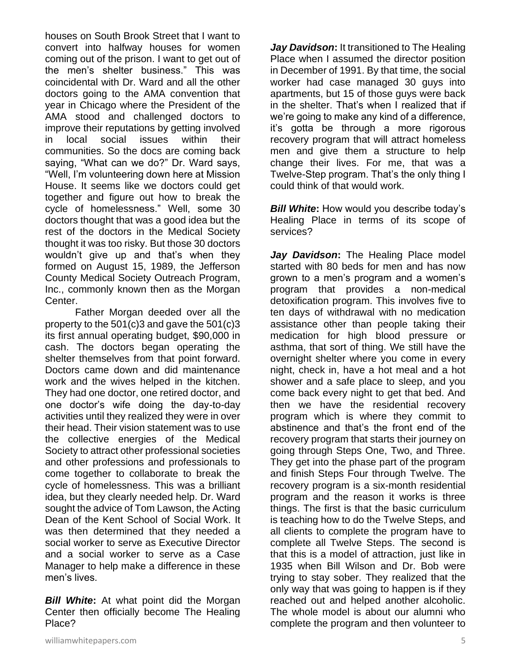houses on South Brook Street that I want to convert into halfway houses for women coming out of the prison. I want to get out of the men's shelter business." This was coincidental with Dr. Ward and all the other doctors going to the AMA convention that year in Chicago where the President of the AMA stood and challenged doctors to improve their reputations by getting involved in local social issues within their communities. So the docs are coming back saying, "What can we do?" Dr. Ward says, "Well, I'm volunteering down here at Mission House. It seems like we doctors could get together and figure out how to break the cycle of homelessness." Well, some 30 doctors thought that was a good idea but the rest of the doctors in the Medical Society thought it was too risky. But those 30 doctors wouldn't give up and that's when they formed on August 15, 1989, the Jefferson County Medical Society Outreach Program, Inc., commonly known then as the Morgan Center.

Father Morgan deeded over all the property to the 501(c)3 and gave the 501(c)3 its first annual operating budget, \$90,000 in cash. The doctors began operating the shelter themselves from that point forward. Doctors came down and did maintenance work and the wives helped in the kitchen. They had one doctor, one retired doctor, and one doctor's wife doing the day-to-day activities until they realized they were in over their head. Their vision statement was to use the collective energies of the Medical Society to attract other professional societies and other professions and professionals to come together to collaborate to break the cycle of homelessness. This was a brilliant idea, but they clearly needed help. Dr. Ward sought the advice of Tom Lawson, the Acting Dean of the Kent School of Social Work. It was then determined that they needed a social worker to serve as Executive Director and a social worker to serve as a Case Manager to help make a difference in these men's lives.

*Bill White***:** At what point did the Morgan Center then officially become The Healing Place?

*Jay Davidson***:** It transitioned to The Healing Place when I assumed the director position in December of 1991. By that time, the social worker had case managed 30 guys into apartments, but 15 of those guys were back in the shelter. That's when I realized that if we're going to make any kind of a difference, it's gotta be through a more rigorous recovery program that will attract homeless men and give them a structure to help change their lives. For me, that was a Twelve-Step program. That's the only thing I could think of that would work.

*Bill White***:** How would you describe today's Healing Place in terms of its scope of services?

*Jay Davidson***:** The Healing Place model started with 80 beds for men and has now grown to a men's program and a women's program that provides a non-medical detoxification program. This involves five to ten days of withdrawal with no medication assistance other than people taking their medication for high blood pressure or asthma, that sort of thing. We still have the overnight shelter where you come in every night, check in, have a hot meal and a hot shower and a safe place to sleep, and you come back every night to get that bed. And then we have the residential recovery program which is where they commit to abstinence and that's the front end of the recovery program that starts their journey on going through Steps One, Two, and Three. They get into the phase part of the program and finish Steps Four through Twelve. The recovery program is a six-month residential program and the reason it works is three things. The first is that the basic curriculum is teaching how to do the Twelve Steps, and all clients to complete the program have to complete all Twelve Steps. The second is that this is a model of attraction, just like in 1935 when Bill Wilson and Dr. Bob were trying to stay sober. They realized that the only way that was going to happen is if they reached out and helped another alcoholic. The whole model is about our alumni who complete the program and then volunteer to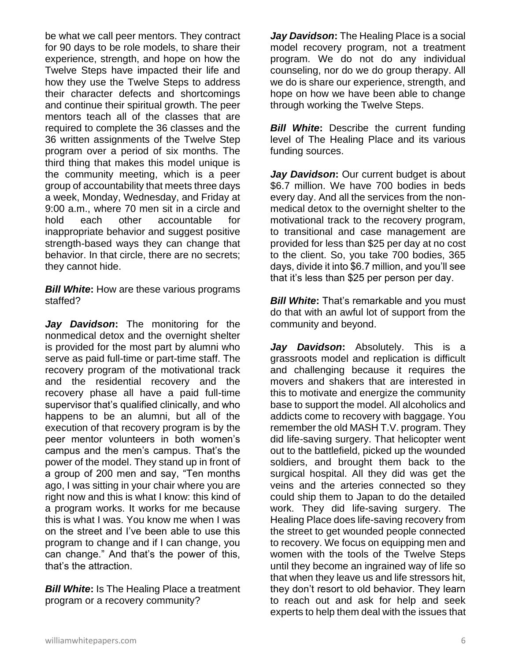be what we call peer mentors. They contract for 90 days to be role models, to share their experience, strength, and hope on how the Twelve Steps have impacted their life and how they use the Twelve Steps to address their character defects and shortcomings and continue their spiritual growth. The peer mentors teach all of the classes that are required to complete the 36 classes and the 36 written assignments of the Twelve Step program over a period of six months. The third thing that makes this model unique is the community meeting, which is a peer group of accountability that meets three days a week, Monday, Wednesday, and Friday at 9:00 a.m., where 70 men sit in a circle and hold each other accountable for inappropriate behavior and suggest positive strength-based ways they can change that behavior. In that circle, there are no secrets; they cannot hide.

*Bill White***:** How are these various programs staffed?

*Jay Davidson***:** The monitoring for the nonmedical detox and the overnight shelter is provided for the most part by alumni who serve as paid full-time or part-time staff. The recovery program of the motivational track and the residential recovery and the recovery phase all have a paid full-time supervisor that's qualified clinically, and who happens to be an alumni, but all of the execution of that recovery program is by the peer mentor volunteers in both women's campus and the men's campus. That's the power of the model. They stand up in front of a group of 200 men and say, "Ten months ago, I was sitting in your chair where you are right now and this is what I know: this kind of a program works. It works for me because this is what I was. You know me when I was on the street and I've been able to use this program to change and if I can change, you can change." And that's the power of this, that's the attraction.

*Bill White***:** Is The Healing Place a treatment program or a recovery community?

*Jay Davidson***:** The Healing Place is a social model recovery program, not a treatment program. We do not do any individual counseling, nor do we do group therapy. All we do is share our experience, strength, and hope on how we have been able to change through working the Twelve Steps.

**Bill White:** Describe the current funding level of The Healing Place and its various funding sources.

*Jay Davidson***:** Our current budget is about \$6.7 million. We have 700 bodies in beds every day. And all the services from the nonmedical detox to the overnight shelter to the motivational track to the recovery program, to transitional and case management are provided for less than \$25 per day at no cost to the client. So, you take 700 bodies, 365 days, divide it into \$6.7 million, and you'll see that it's less than \$25 per person per day.

*Bill White***:** That's remarkable and you must do that with an awful lot of support from the community and beyond.

*Jay Davidson***:** Absolutely. This is a grassroots model and replication is difficult and challenging because it requires the movers and shakers that are interested in this to motivate and energize the community base to support the model. All alcoholics and addicts come to recovery with baggage. You remember the old MASH T.V. program. They did life-saving surgery. That helicopter went out to the battlefield, picked up the wounded soldiers, and brought them back to the surgical hospital. All they did was get the veins and the arteries connected so they could ship them to Japan to do the detailed work. They did life-saving surgery. The Healing Place does life-saving recovery from the street to get wounded people connected to recovery. We focus on equipping men and women with the tools of the Twelve Steps until they become an ingrained way of life so that when they leave us and life stressors hit, they don't resort to old behavior. They learn to reach out and ask for help and seek experts to help them deal with the issues that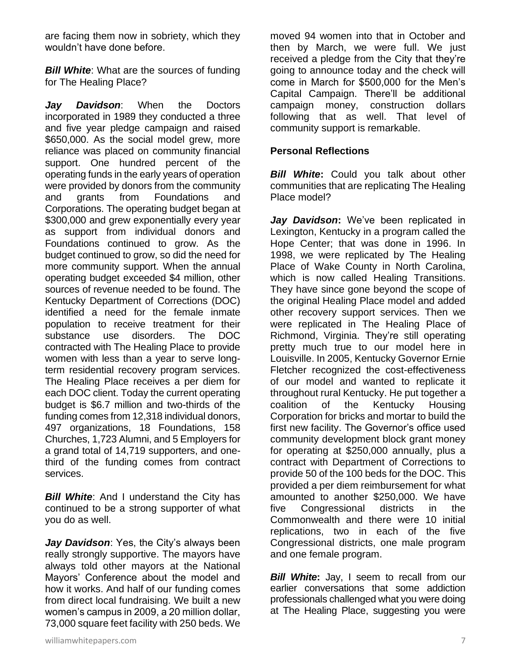are facing them now in sobriety, which they wouldn't have done before.

**Bill White:** What are the sources of funding for The Healing Place?

*Jay Davidson*: When the Doctors incorporated in 1989 they conducted a three and five year pledge campaign and raised \$650,000. As the social model grew, more reliance was placed on community financial support. One hundred percent of the operating funds in the early years of operation were provided by donors from the community and grants from Foundations and Corporations. The operating budget began at \$300,000 and grew exponentially every year as support from individual donors and Foundations continued to grow. As the budget continued to grow, so did the need for more community support. When the annual operating budget exceeded \$4 million, other sources of revenue needed to be found. The Kentucky Department of Corrections (DOC) identified a need for the female inmate population to receive treatment for their substance use disorders. The DOC contracted with The Healing Place to provide women with less than a year to serve longterm residential recovery program services. The Healing Place receives a per diem for each DOC client. Today the current operating budget is \$6.7 million and two-thirds of the funding comes from 12,318 individual donors, 497 organizations, 18 Foundations, 158 Churches, 1,723 Alumni, and 5 Employers for a grand total of 14,719 supporters, and onethird of the funding comes from contract services.

**Bill White:** And I understand the City has continued to be a strong supporter of what you do as well.

*Jay Davidson*: Yes, the City's always been really strongly supportive. The mayors have always told other mayors at the National Mayors' Conference about the model and how it works. And half of our funding comes from direct local fundraising. We built a new women's campus in 2009, a 20 million dollar, 73,000 square feet facility with 250 beds. We moved 94 women into that in October and then by March, we were full. We just received a pledge from the City that they're going to announce today and the check will come in March for \$500,000 for the Men's Capital Campaign. There'll be additional campaign money, construction dollars following that as well. That level of community support is remarkable.

### **Personal Reflections**

*Bill White***:** Could you talk about other communities that are replicating The Healing Place model?

*Jay Davidson***:** We've been replicated in Lexington, Kentucky in a program called the Hope Center; that was done in 1996. In 1998, we were replicated by The Healing Place of Wake County in North Carolina, which is now called Healing Transitions. They have since gone beyond the scope of the original Healing Place model and added other recovery support services. Then we were replicated in The Healing Place of Richmond, Virginia. They're still operating pretty much true to our model here in Louisville. In 2005, Kentucky Governor Ernie Fletcher recognized the cost-effectiveness of our model and wanted to replicate it throughout rural Kentucky. He put together a coalition of the Kentucky Housing Corporation for bricks and mortar to build the first new facility. The Governor's office used community development block grant money for operating at \$250,000 annually, plus a contract with Department of Corrections to provide 50 of the 100 beds for the DOC. This provided a per diem reimbursement for what amounted to another \$250,000. We have five Congressional districts in the Commonwealth and there were 10 initial replications, two in each of the five Congressional districts, one male program and one female program.

*Bill White*: Jay, I seem to recall from our earlier conversations that some addiction professionals challenged what you were doing at The Healing Place, suggesting you were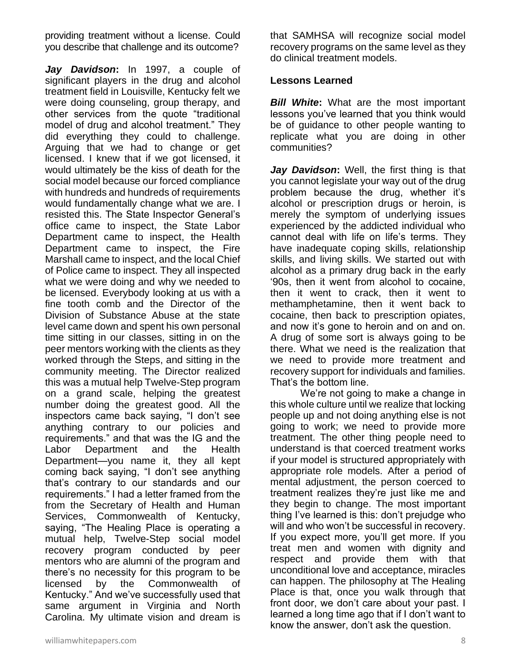providing treatment without a license. Could you describe that challenge and its outcome?

*Jay Davidson***:** In 1997, a couple of significant players in the drug and alcohol treatment field in Louisville, Kentucky felt we were doing counseling, group therapy, and other services from the quote "traditional model of drug and alcohol treatment." They did everything they could to challenge. Arguing that we had to change or get licensed. I knew that if we got licensed, it would ultimately be the kiss of death for the social model because our forced compliance with hundreds and hundreds of requirements would fundamentally change what we are. I resisted this. The State Inspector General's office came to inspect, the State Labor Department came to inspect, the Health Department came to inspect, the Fire Marshall came to inspect, and the local Chief of Police came to inspect. They all inspected what we were doing and why we needed to be licensed. Everybody looking at us with a fine tooth comb and the Director of the Division of Substance Abuse at the state level came down and spent his own personal time sitting in our classes, sitting in on the peer mentors working with the clients as they worked through the Steps, and sitting in the community meeting. The Director realized this was a mutual help Twelve-Step program on a grand scale, helping the greatest number doing the greatest good. All the inspectors came back saying, "I don't see anything contrary to our policies and requirements." and that was the IG and the Labor Department and the Health Department—you name it, they all kept coming back saying, "I don't see anything that's contrary to our standards and our requirements." I had a letter framed from the from the Secretary of Health and Human Services, Commonwealth of Kentucky, saying, "The Healing Place is operating a mutual help, Twelve-Step social model recovery program conducted by peer mentors who are alumni of the program and there's no necessity for this program to be licensed by the Commonwealth of Kentucky." And we've successfully used that same argument in Virginia and North Carolina. My ultimate vision and dream is

that SAMHSA will recognize social model recovery programs on the same level as they do clinical treatment models.

#### **Lessons Learned**

*Bill White:* What are the most important lessons you've learned that you think would be of guidance to other people wanting to replicate what you are doing in other communities?

*Jay Davidson***:** Well, the first thing is that you cannot legislate your way out of the drug problem because the drug, whether it's alcohol or prescription drugs or heroin, is merely the symptom of underlying issues experienced by the addicted individual who cannot deal with life on life's terms. They have inadequate coping skills, relationship skills, and living skills. We started out with alcohol as a primary drug back in the early '90s, then it went from alcohol to cocaine, then it went to crack, then it went to methamphetamine, then it went back to cocaine, then back to prescription opiates, and now it's gone to heroin and on and on. A drug of some sort is always going to be there. What we need is the realization that we need to provide more treatment and recovery support for individuals and families. That's the bottom line.

We're not going to make a change in this whole culture until we realize that locking people up and not doing anything else is not going to work; we need to provide more treatment. The other thing people need to understand is that coerced treatment works if your model is structured appropriately with appropriate role models. After a period of mental adjustment, the person coerced to treatment realizes they're just like me and they begin to change. The most important thing I've learned is this: don't prejudge who will and who won't be successful in recovery. If you expect more, you'll get more. If you treat men and women with dignity and respect and provide them with that unconditional love and acceptance, miracles can happen. The philosophy at The Healing Place is that, once you walk through that front door, we don't care about your past. I learned a long time ago that if I don't want to know the answer, don't ask the question.